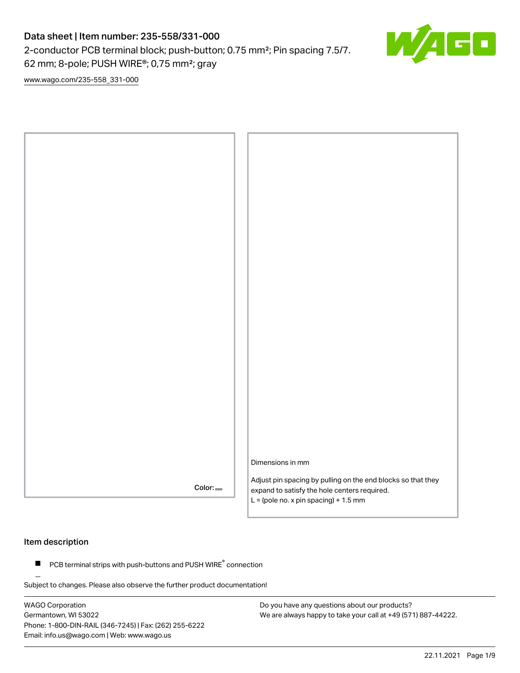2-conductor PCB terminal block; push-button; 0.75 mm²; Pin spacing 7.5/7.

62 mm; 8-pole; PUSH WIRE®; 0,75 mm²; gray

[www.wago.com/235-558\\_331-000](http://www.wago.com/235-558_331-000)



### Item description

 $\blacksquare$  PCB terminal strips with push-buttons and PUSH WIRE $\degree$  connection

Subject to changes. Please also observe the further product documentation!

WAGO Corporation Germantown, WI 53022 Phone: 1-800-DIN-RAIL (346-7245) | Fax: (262) 255-6222 Email: info.us@wago.com | Web: www.wago.us

Do you have any questions about our products? We are always happy to take your call at +49 (571) 887-44222.

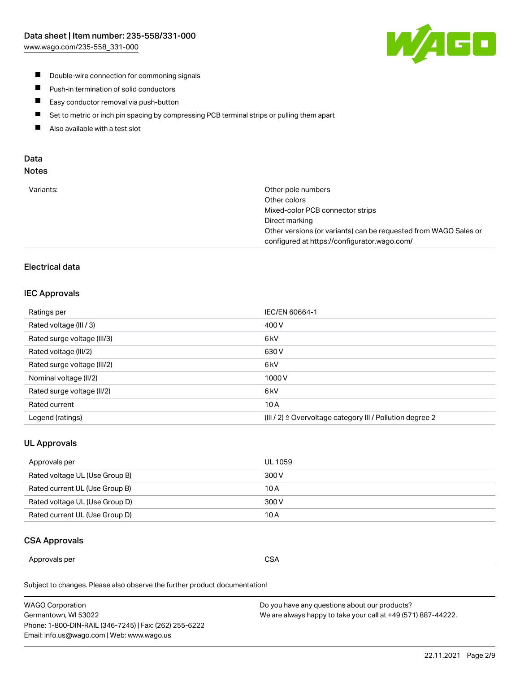

- **Double-wire connection for commoning signals**
- $\blacksquare$ Push-in termination of solid conductors
- Easy conductor removal via push-button  $\blacksquare$
- $\blacksquare$ Set to metric or inch pin spacing by compressing PCB terminal strips or pulling them apart
- $\blacksquare$ Also available with a test slot

### Data Notes

| Variants: | Other pole numbers                                               |
|-----------|------------------------------------------------------------------|
|           | Other colors                                                     |
|           | Mixed-color PCB connector strips                                 |
|           | Direct marking                                                   |
|           | Other versions (or variants) can be requested from WAGO Sales or |
|           | configured at https://configurator.wago.com/                     |
|           |                                                                  |

## Electrical data

### IEC Approvals

| Ratings per                 | IEC/EN 60664-1                                                        |
|-----------------------------|-----------------------------------------------------------------------|
| Rated voltage (III / 3)     | 400 V                                                                 |
| Rated surge voltage (III/3) | 6 <sub>kV</sub>                                                       |
| Rated voltage (III/2)       | 630 V                                                                 |
| Rated surge voltage (III/2) | 6 kV                                                                  |
| Nominal voltage (II/2)      | 1000V                                                                 |
| Rated surge voltage (II/2)  | 6 <sub>kV</sub>                                                       |
| Rated current               | 10A                                                                   |
| Legend (ratings)            | $(III / 2)$ $\triangle$ Overvoltage category III / Pollution degree 2 |

### UL Approvals

| Approvals per                  | UL 1059 |
|--------------------------------|---------|
| Rated voltage UL (Use Group B) | 300 V   |
| Rated current UL (Use Group B) | 10 A    |
| Rated voltage UL (Use Group D) | 300 V   |
| Rated current UL (Use Group D) | 10 A    |

### CSA Approvals

| per    |        |
|--------|--------|
| ovais: | $\sim$ |
| Annr   | SΔ     |
|        | vv.    |
|        | ___    |
|        |        |

Subject to changes. Please also observe the further product documentation!

| WAGO Corporation                                       | Do you have any questions about our products?                 |
|--------------------------------------------------------|---------------------------------------------------------------|
| Germantown, WI 53022                                   | We are always happy to take your call at +49 (571) 887-44222. |
| Phone: 1-800-DIN-RAIL (346-7245)   Fax: (262) 255-6222 |                                                               |
| Email: info.us@wago.com   Web: www.wago.us             |                                                               |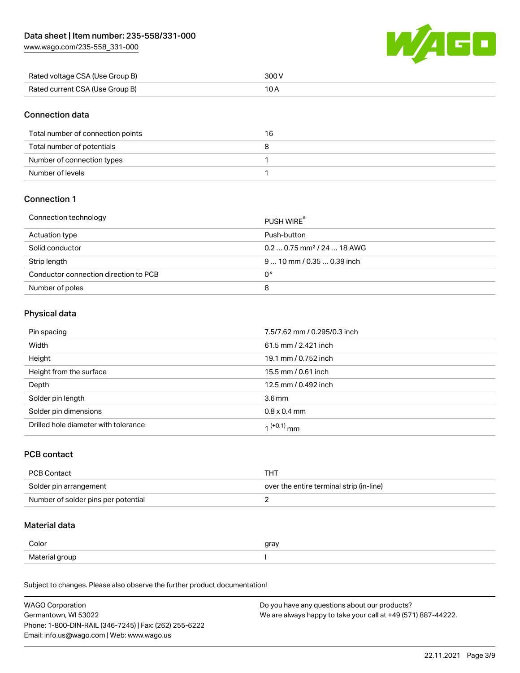[www.wago.com/235-558\\_331-000](http://www.wago.com/235-558_331-000)



| Rated voltage CSA (Use Group B) | 300 V |
|---------------------------------|-------|
| Rated current CSA (Use Group B) |       |

### Connection data

| Total number of connection points | 16 |
|-----------------------------------|----|
| Total number of potentials        |    |
| Number of connection types        |    |
| Number of levels                  |    |

### Connection 1

#### Connection technology PUSH WIRE®

|                                       | <b>PUSH WIRE</b>                       |
|---------------------------------------|----------------------------------------|
| Actuation type                        | Push-button                            |
| Solid conductor                       | $0.20.75$ mm <sup>2</sup> / 24  18 AWG |
| Strip length                          | $910$ mm / 0.35  0.39 inch             |
| Conductor connection direction to PCB | 0°                                     |
| Number of poles                       | 8                                      |

## Physical data

| Pin spacing                          | 7.5/7.62 mm / 0.295/0.3 inch |
|--------------------------------------|------------------------------|
| Width                                | 61.5 mm / 2.421 inch         |
| Height                               | 19.1 mm / 0.752 inch         |
| Height from the surface              | 15.5 mm / 0.61 inch          |
| Depth                                | 12.5 mm / 0.492 inch         |
| Solder pin length                    | 3.6 <sub>mm</sub>            |
| Solder pin dimensions                | $0.8 \times 0.4$ mm          |
| Drilled hole diameter with tolerance | 1 <sup>(+0.1)</sup> mm       |

### PCB contact

| PCB Contact                         | тнт                                      |
|-------------------------------------|------------------------------------------|
| Solder pin arrangement              | over the entire terminal strip (in-line) |
| Number of solder pins per potential |                                          |

## Material data

| Color          | gray |
|----------------|------|
| Material group |      |

Subject to changes. Please also observe the further product documentation!

| <b>WAGO Corporation</b>                                | Do you have any questions about our products?                 |
|--------------------------------------------------------|---------------------------------------------------------------|
| Germantown, WI 53022                                   | We are always happy to take your call at +49 (571) 887-44222. |
| Phone: 1-800-DIN-RAIL (346-7245)   Fax: (262) 255-6222 |                                                               |
| Email: info.us@wago.com   Web: www.wago.us             |                                                               |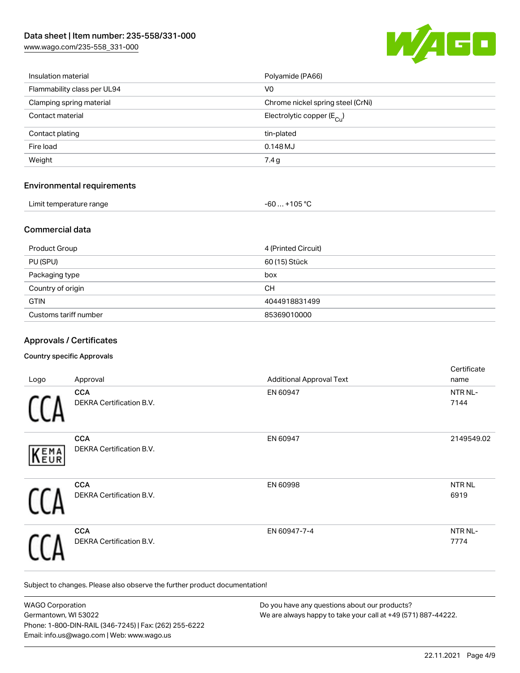[www.wago.com/235-558\\_331-000](http://www.wago.com/235-558_331-000)



| Insulation material               | Polyamide (PA66)                       |
|-----------------------------------|----------------------------------------|
| Flammability class per UL94       | V <sub>0</sub>                         |
| Clamping spring material          | Chrome nickel spring steel (CrNi)      |
| Contact material                  | Electrolytic copper $(E_{\text{Cul}})$ |
| Contact plating                   | tin-plated                             |
| Fire load                         | 0.148 MJ                               |
| Weight                            | 7.4g                                   |
| <b>Environmental requirements</b> |                                        |
| Limit temperature range           | $-60+105 °C$                           |

## Commercial data

| Product Group         | 4 (Printed Circuit) |
|-----------------------|---------------------|
| PU (SPU)              | 60 (15) Stück       |
| Packaging type        | box                 |
| Country of origin     | CH.                 |
| <b>GTIN</b>           | 4044918831499       |
| Customs tariff number | 85369010000         |

### Approvals / Certificates

#### Country specific Approvals

| Logo        | Approval                                      | <b>Additional Approval Text</b> | Certificate<br>name       |
|-------------|-----------------------------------------------|---------------------------------|---------------------------|
|             | <b>CCA</b><br><b>DEKRA Certification B.V.</b> | EN 60947                        | NTR NL-<br>7144           |
| <b>KEMA</b> | <b>CCA</b><br>DEKRA Certification B.V.        | EN 60947                        | 2149549.02                |
|             | <b>CCA</b><br>DEKRA Certification B.V.        | EN 60998                        | NTR <sub>NL</sub><br>6919 |
|             | <b>CCA</b><br>DEKRA Certification B.V.        | EN 60947-7-4                    | NTR NL-<br>7774           |

Subject to changes. Please also observe the further product documentation!

| <b>WAGO Corporation</b>                                | Do you have any questions about our products?                 |
|--------------------------------------------------------|---------------------------------------------------------------|
| Germantown, WI 53022                                   | We are always happy to take your call at +49 (571) 887-44222. |
| Phone: 1-800-DIN-RAIL (346-7245)   Fax: (262) 255-6222 |                                                               |
| Email: info.us@wago.com   Web: www.wago.us             |                                                               |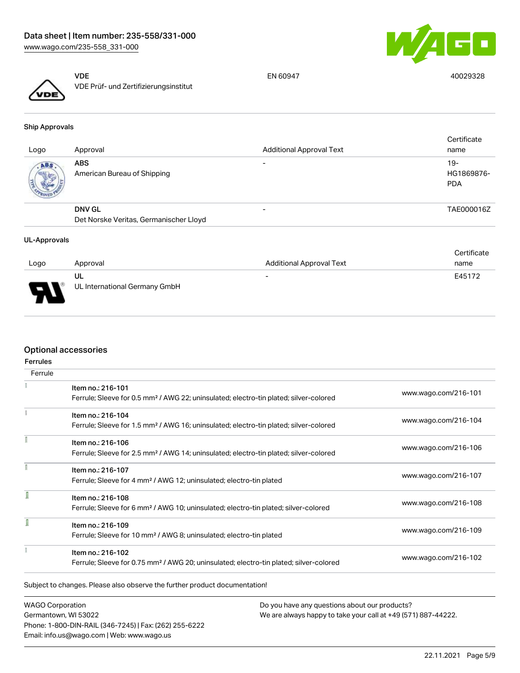



VDE VDE Prüf- und Zertifizierungsinstitut EN 60947 40029328

Ship Approvals

| Logo | Approval                                                | <b>Additional Approval Text</b> | Certificate<br>name               |
|------|---------------------------------------------------------|---------------------------------|-----------------------------------|
| ABS  | <b>ABS</b><br>American Bureau of Shipping               | $\overline{\phantom{0}}$        | $19-$<br>HG1869876-<br><b>PDA</b> |
|      | <b>DNV GL</b><br>Det Norske Veritas, Germanischer Lloyd |                                 | TAE000016Z                        |

#### UL-Approvals

|      |                                     |                                 | Certificate |
|------|-------------------------------------|---------------------------------|-------------|
| Logo | Approval                            | <b>Additional Approval Text</b> | name        |
| J    | UL<br>UL International Germany GmbH | $\overline{\phantom{0}}$        | E45172      |
| ┳    |                                     |                                 |             |

## Optional accessories

| <b>Ferrules</b><br>Ferrule |                                                                                                                         |                      |
|----------------------------|-------------------------------------------------------------------------------------------------------------------------|----------------------|
|                            | Item no.: 216-101<br>Ferrule; Sleeve for 0.5 mm <sup>2</sup> / AWG 22; uninsulated; electro-tin plated; silver-colored  | www.wago.com/216-101 |
|                            | Item no.: 216-104<br>Ferrule; Sleeve for 1.5 mm <sup>2</sup> / AWG 16; uninsulated; electro-tin plated; silver-colored  | www.wago.com/216-104 |
|                            | Item no.: 216-106<br>Ferrule; Sleeve for 2.5 mm <sup>2</sup> / AWG 14; uninsulated; electro-tin plated; silver-colored  | www.wago.com/216-106 |
|                            | Item no.: 216-107<br>Ferrule; Sleeve for 4 mm <sup>2</sup> / AWG 12; uninsulated; electro-tin plated                    | www.wago.com/216-107 |
| I                          | Item no.: 216-108<br>Ferrule; Sleeve for 6 mm <sup>2</sup> / AWG 10; uninsulated; electro-tin plated; silver-colored    | www.wago.com/216-108 |
| ī                          | Item no.: 216-109<br>Ferrule; Sleeve for 10 mm <sup>2</sup> / AWG 8; uninsulated; electro-tin plated                    | www.wago.com/216-109 |
|                            | Item no.: 216-102<br>Ferrule; Sleeve for 0.75 mm <sup>2</sup> / AWG 20; uninsulated; electro-tin plated; silver-colored | www.wago.com/216-102 |

WAGO Corporation Germantown, WI 53022 Phone: 1-800-DIN-RAIL (346-7245) | Fax: (262) 255-6222 Email: info.us@wago.com | Web: www.wago.us

Do you have any questions about our products? We are always happy to take your call at +49 (571) 887-44222.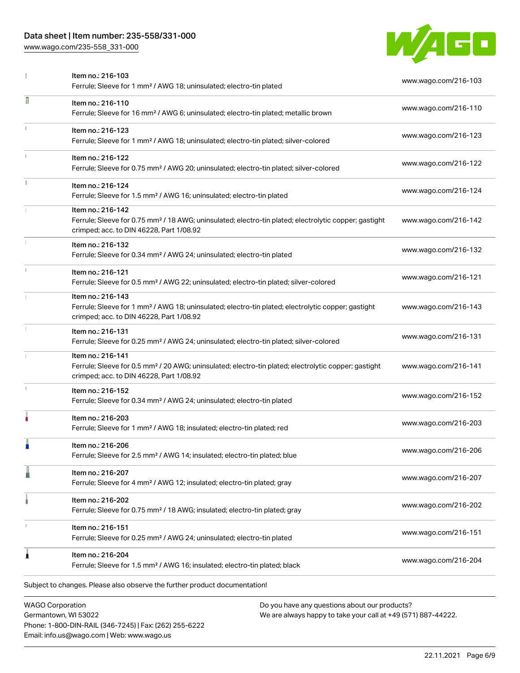Phone: 1-800-DIN-RAIL (346-7245) | Fax: (262) 255-6222

Email: info.us@wago.com | Web: www.wago.us

[www.wago.com/235-558\\_331-000](http://www.wago.com/235-558_331-000)



|              | Item no.: 216-103<br>Ferrule; Sleeve for 1 mm <sup>2</sup> / AWG 18; uninsulated; electro-tin plated                                                                               |                                                                                                                | www.wago.com/216-103 |
|--------------|------------------------------------------------------------------------------------------------------------------------------------------------------------------------------------|----------------------------------------------------------------------------------------------------------------|----------------------|
| Ω            | Item no.: 216-110<br>Ferrule; Sleeve for 16 mm <sup>2</sup> / AWG 6; uninsulated; electro-tin plated; metallic brown                                                               |                                                                                                                | www.wago.com/216-110 |
|              | Item no.: 216-123<br>Ferrule; Sleeve for 1 mm <sup>2</sup> / AWG 18; uninsulated; electro-tin plated; silver-colored                                                               |                                                                                                                | www.wago.com/216-123 |
| $\mathbf{1}$ | Item no.: 216-122<br>Ferrule; Sleeve for 0.75 mm <sup>2</sup> / AWG 20; uninsulated; electro-tin plated; silver-colored                                                            |                                                                                                                | www.wago.com/216-122 |
|              | Item no.: 216-124<br>Ferrule; Sleeve for 1.5 mm <sup>2</sup> / AWG 16; uninsulated; electro-tin plated                                                                             |                                                                                                                | www.wago.com/216-124 |
|              | Item no.: 216-142<br>Ferrule; Sleeve for 0.75 mm <sup>2</sup> / 18 AWG; uninsulated; electro-tin plated; electrolytic copper; gastight<br>crimped; acc. to DIN 46228, Part 1/08.92 |                                                                                                                | www.wago.com/216-142 |
|              | Item no.: 216-132<br>Ferrule; Sleeve for 0.34 mm <sup>2</sup> / AWG 24; uninsulated; electro-tin plated                                                                            |                                                                                                                | www.wago.com/216-132 |
|              | Item no.: 216-121<br>Ferrule; Sleeve for 0.5 mm <sup>2</sup> / AWG 22; uninsulated; electro-tin plated; silver-colored                                                             |                                                                                                                | www.wago.com/216-121 |
|              | Item no.: 216-143<br>Ferrule; Sleeve for 1 mm <sup>2</sup> / AWG 18; uninsulated; electro-tin plated; electrolytic copper; gastight<br>crimped; acc. to DIN 46228, Part 1/08.92    |                                                                                                                | www.wago.com/216-143 |
|              | Item no.: 216-131<br>Ferrule; Sleeve for 0.25 mm <sup>2</sup> / AWG 24; uninsulated; electro-tin plated; silver-colored                                                            |                                                                                                                | www.wago.com/216-131 |
|              | Item no.: 216-141<br>Ferrule; Sleeve for 0.5 mm <sup>2</sup> / 20 AWG; uninsulated; electro-tin plated; electrolytic copper; gastight<br>crimped; acc. to DIN 46228, Part 1/08.92  |                                                                                                                | www.wago.com/216-141 |
|              | Item no.: 216-152<br>Ferrule; Sleeve for 0.34 mm <sup>2</sup> / AWG 24; uninsulated; electro-tin plated                                                                            |                                                                                                                | www.wago.com/216-152 |
|              | Item no.: 216-203<br>Ferrule; Sleeve for 1 mm <sup>2</sup> / AWG 18; insulated; electro-tin plated; red                                                                            |                                                                                                                | www.wago.com/216-203 |
|              | Item no.: 216-206<br>Ferrule; Sleeve for 2.5 mm <sup>2</sup> / AWG 14; insulated; electro-tin plated; blue                                                                         |                                                                                                                | www.wago.com/216-206 |
|              | Item no.: 216-207<br>Ferrule; Sleeve for 4 mm <sup>2</sup> / AWG 12; insulated; electro-tin plated; gray                                                                           |                                                                                                                | www.wago.com/216-207 |
|              | Item no.: 216-202<br>Ferrule; Sleeve for 0.75 mm <sup>2</sup> / 18 AWG; insulated; electro-tin plated; gray                                                                        |                                                                                                                | www.wago.com/216-202 |
|              | Item no.: 216-151<br>Ferrule; Sleeve for 0.25 mm <sup>2</sup> / AWG 24; uninsulated; electro-tin plated                                                                            |                                                                                                                | www.wago.com/216-151 |
| j            | Item no.: 216-204<br>Ferrule; Sleeve for 1.5 mm <sup>2</sup> / AWG 16; insulated; electro-tin plated; black                                                                        |                                                                                                                | www.wago.com/216-204 |
|              | Subject to changes. Please also observe the further product documentation!                                                                                                         |                                                                                                                |                      |
|              | <b>WAGO Corporation</b><br>Germantown, WI 53022                                                                                                                                    | Do you have any questions about our products?<br>We are always happy to take your call at +49 (571) 887-44222. |                      |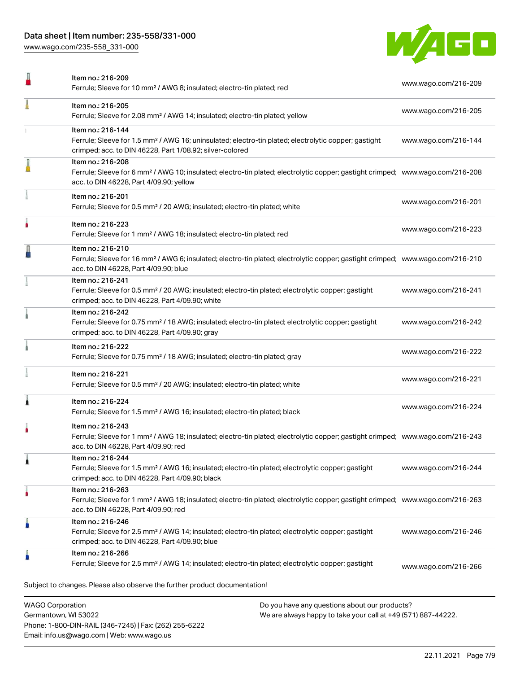[www.wago.com/235-558\\_331-000](http://www.wago.com/235-558_331-000)



|   | Item no.: 216-209<br>Ferrule; Sleeve for 10 mm <sup>2</sup> / AWG 8; insulated; electro-tin plated; red                                                                                                    | www.wago.com/216-209                                         |
|---|------------------------------------------------------------------------------------------------------------------------------------------------------------------------------------------------------------|--------------------------------------------------------------|
|   | Item no.: 216-205<br>Ferrule; Sleeve for 2.08 mm <sup>2</sup> / AWG 14; insulated; electro-tin plated; yellow                                                                                              | www.wago.com/216-205                                         |
|   | Item no.: 216-144<br>Ferrule; Sleeve for 1.5 mm <sup>2</sup> / AWG 16; uninsulated; electro-tin plated; electrolytic copper; gastight<br>crimped; acc. to DIN 46228, Part 1/08.92; silver-colored          | www.wago.com/216-144                                         |
|   | Item no.: 216-208<br>Ferrule; Sleeve for 6 mm <sup>2</sup> / AWG 10; insulated; electro-tin plated; electrolytic copper; gastight crimped; www.wago.com/216-208<br>acc. to DIN 46228, Part 4/09.90; yellow |                                                              |
|   | Item no.: 216-201<br>Ferrule; Sleeve for 0.5 mm <sup>2</sup> / 20 AWG; insulated; electro-tin plated; white                                                                                                | www.wago.com/216-201                                         |
|   | Item no.: 216-223<br>Ferrule; Sleeve for 1 mm <sup>2</sup> / AWG 18; insulated; electro-tin plated; red                                                                                                    | www.wago.com/216-223                                         |
|   | Item no.: 216-210<br>Ferrule; Sleeve for 16 mm <sup>2</sup> / AWG 6; insulated; electro-tin plated; electrolytic copper; gastight crimped; www.wago.com/216-210<br>acc. to DIN 46228, Part 4/09.90; blue   |                                                              |
|   | Item no.: 216-241<br>Ferrule; Sleeve for 0.5 mm <sup>2</sup> / 20 AWG; insulated; electro-tin plated; electrolytic copper; gastight<br>crimped; acc. to DIN 46228, Part 4/09.90; white                     | www.wago.com/216-241                                         |
|   | Item no.: 216-242<br>Ferrule; Sleeve for 0.75 mm <sup>2</sup> / 18 AWG; insulated; electro-tin plated; electrolytic copper; gastight<br>crimped; acc. to DIN 46228, Part 4/09.90; gray                     | www.wago.com/216-242                                         |
|   | Item no.: 216-222<br>Ferrule; Sleeve for 0.75 mm <sup>2</sup> / 18 AWG; insulated; electro-tin plated; gray                                                                                                | www.wago.com/216-222                                         |
|   | Item no.: 216-221<br>Ferrule; Sleeve for 0.5 mm <sup>2</sup> / 20 AWG; insulated; electro-tin plated; white                                                                                                | www.wago.com/216-221                                         |
|   | Item no.: 216-224<br>Ferrule; Sleeve for 1.5 mm <sup>2</sup> / AWG 16; insulated; electro-tin plated; black                                                                                                | www.wago.com/216-224                                         |
|   | Item no.: 216-243<br>Ferrule; Sleeve for 1 mm <sup>2</sup> / AWG 18; insulated; electro-tin plated; electrolytic copper; gastight crimped; www.wago.com/216-243<br>acc. to DIN 46228, Part 4/09.90; red    |                                                              |
|   | Item no.: 216-244<br>Ferrule; Sleeve for 1.5 mm <sup>2</sup> / AWG 16; insulated; electro-tin plated; electrolytic copper; gastight<br>crimped; acc. to DIN 46228, Part 4/09.90; black                     | www.wago.com/216-244                                         |
| ٠ | Item no.: 216-263<br>Ferrule; Sleeve for 1 mm <sup>2</sup> / AWG 18; insulated; electro-tin plated; electrolytic copper; gastight crimped; www.wago.com/216-263<br>acc. to DIN 46228, Part 4/09.90; red    |                                                              |
|   | Item no.: 216-246<br>Ferrule; Sleeve for 2.5 mm <sup>2</sup> / AWG 14; insulated; electro-tin plated; electrolytic copper; gastight<br>crimped; acc. to DIN 46228, Part 4/09.90; blue                      | www.wago.com/216-246                                         |
| Å | Item no.: 216-266<br>Ferrule; Sleeve for 2.5 mm <sup>2</sup> / AWG 14; insulated; electro-tin plated; electrolytic copper; gastight                                                                        | www.wago.com/216-266                                         |
|   | Subject to changes. Please also observe the further product documentation!                                                                                                                                 |                                                              |
|   | <b>WAGO Corporation</b><br>Do you have any questions about our products?<br>Germantown WI 53022                                                                                                            | Me are always hanny to take your call at +49 (571) 887-44222 |

We are always happy to take your call at +49 (571) 887-44222.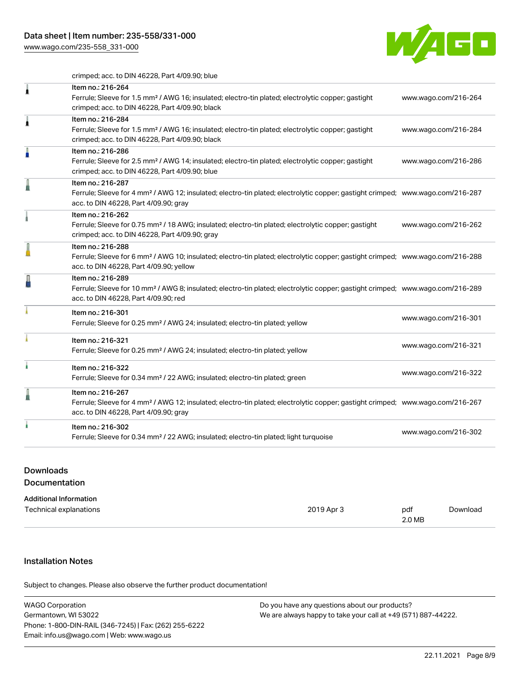[www.wago.com/235-558\\_331-000](http://www.wago.com/235-558_331-000)



crimped; acc. to DIN 46228, Part 4/09.90; blue

| 1 | Item no.: 216-264<br>Ferrule; Sleeve for 1.5 mm <sup>2</sup> / AWG 16; insulated; electro-tin plated; electrolytic copper; gastight<br>crimped; acc. to DIN 46228, Part 4/09.90; black                     | www.wago.com/216-264 |
|---|------------------------------------------------------------------------------------------------------------------------------------------------------------------------------------------------------------|----------------------|
| Â | Item no.: 216-284<br>Ferrule; Sleeve for 1.5 mm <sup>2</sup> / AWG 16; insulated; electro-tin plated; electrolytic copper; gastight<br>crimped; acc. to DIN 46228, Part 4/09.90; black                     | www.wago.com/216-284 |
| ä | Item no.: 216-286<br>Ferrule; Sleeve for 2.5 mm <sup>2</sup> / AWG 14; insulated; electro-tin plated; electrolytic copper; gastight<br>crimped; acc. to DIN 46228, Part 4/09.90; blue                      | www.wago.com/216-286 |
|   | Item no.: 216-287<br>Ferrule; Sleeve for 4 mm <sup>2</sup> / AWG 12; insulated; electro-tin plated; electrolytic copper; gastight crimped; www.wago.com/216-287<br>acc. to DIN 46228, Part 4/09.90; gray   |                      |
|   | Item no.: 216-262<br>Ferrule; Sleeve for 0.75 mm <sup>2</sup> / 18 AWG; insulated; electro-tin plated; electrolytic copper; gastight<br>crimped; acc. to DIN 46228, Part 4/09.90; gray                     | www.wago.com/216-262 |
|   | Item no.: 216-288<br>Ferrule; Sleeve for 6 mm <sup>2</sup> / AWG 10; insulated; electro-tin plated; electrolytic copper; gastight crimped; www.wago.com/216-288<br>acc. to DIN 46228, Part 4/09.90; yellow |                      |
|   | Item no.: 216-289<br>Ferrule; Sleeve for 10 mm <sup>2</sup> / AWG 8; insulated; electro-tin plated; electrolytic copper; gastight crimped; www.wago.com/216-289<br>acc. to DIN 46228, Part 4/09.90; red    |                      |
|   | Item no.: 216-301<br>Ferrule; Sleeve for 0.25 mm <sup>2</sup> / AWG 24; insulated; electro-tin plated; yellow                                                                                              | www.wago.com/216-301 |
|   | Item no.: 216-321<br>Ferrule; Sleeve for 0.25 mm <sup>2</sup> / AWG 24; insulated; electro-tin plated; yellow                                                                                              | www.wago.com/216-321 |
|   | Item no.: 216-322<br>Ferrule; Sleeve for 0.34 mm <sup>2</sup> / 22 AWG; insulated; electro-tin plated; green                                                                                               | www.wago.com/216-322 |
|   | Item no.: 216-267<br>Ferrule; Sleeve for 4 mm <sup>2</sup> / AWG 12; insulated; electro-tin plated; electrolytic copper; gastight crimped; www.wago.com/216-267<br>acc. to DIN 46228, Part 4/09.90; gray   |                      |
|   | Item no.: 216-302<br>Ferrule; Sleeve for 0.34 mm <sup>2</sup> / 22 AWG; insulated; electro-tin plated; light turquoise                                                                                     | www.wago.com/216-302 |
|   |                                                                                                                                                                                                            |                      |

## Downloads Documentation

| <b>Additional Information</b> |            |        |          |
|-------------------------------|------------|--------|----------|
| Technical explanations        | 2019 Apr 3 | pdf    | Download |
|                               |            | 2.0 MB |          |

# Installation Notes

.<br>Subject to changes. Please also observe the further product documentation!

| <b>WAGO Corporation</b>                                | Do you have any questions about our products?                 |
|--------------------------------------------------------|---------------------------------------------------------------|
| Germantown, WI 53022                                   | We are always happy to take your call at +49 (571) 887-44222. |
| Phone: 1-800-DIN-RAIL (346-7245)   Fax: (262) 255-6222 |                                                               |
| Email: info.us@wago.com   Web: www.wago.us             |                                                               |